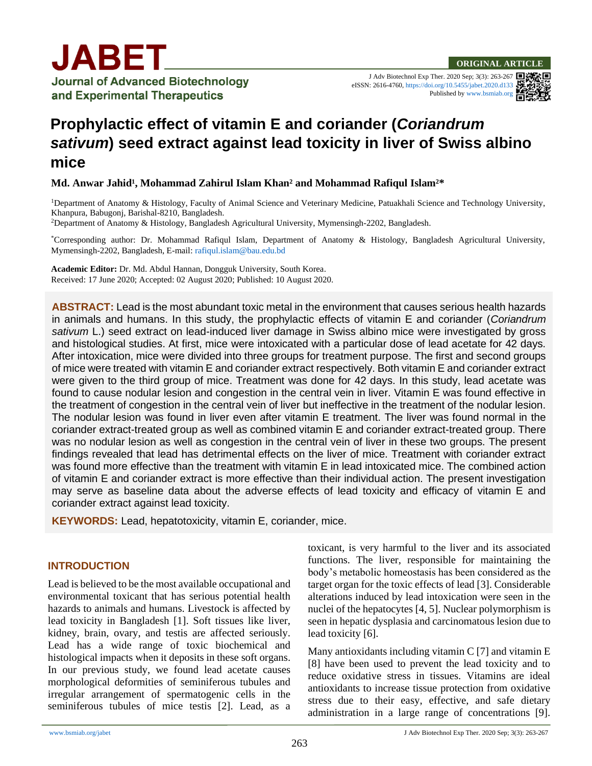J Adv Biotechnol Exp Ther. 2020 Sep; 3(3): 263-267 eISSN: 2616-4760[, https://doi.org/10.5455/jabet.2020.d133](https://doi.org/10.5455/jabet.2020.d133) Published b[y www.bsmiab.org](http://www.bsmiab.org/)



# **Prophylactic effect of vitamin E and coriander (***Coriandrum sativum***) seed extract against lead toxicity in liver of Swiss albino mice**

**Md. Anwar Jahid<sup>1</sup>, Mohammad Zahirul Islam Khan<sup>2</sup> and Mohammad Rafiqul Islam<sup>2\*</sup>** 

<sup>1</sup>Department of Anatomy & Histology, Faculty of Animal Science and Veterinary Medicine, Patuakhali Science and Technology University, Khanpura, Babugonj, Barishal-8210, Bangladesh.

<sup>2</sup>Department of Anatomy & Histology, Bangladesh Agricultural University, Mymensingh-2202, Bangladesh.

\*Corresponding author: Dr. Mohammad Rafiqul Islam, Department of Anatomy & Histology, Bangladesh Agricultural University, Mymensingh-2202, Bangladesh, E-mail[: rafiqul.islam@bau.edu.bd](mailto:rafiqul.islam@bau.edu.bd)

**Academic Editor:** Dr. Md. Abdul Hannan, Dongguk University, South Korea. Received: 17 June 2020; Accepted: 02 August 2020; Published: 10 August 2020.

**ABSTRACT:** Lead is the most abundant toxic metal in the environment that causes serious health hazards in animals and humans. In this study, the prophylactic effects of vitamin E and coriander (*Coriandrum sativum* L.) seed extract on lead-induced liver damage in Swiss albino mice were investigated by gross and histological studies. At first, mice were intoxicated with a particular dose of lead acetate for 42 days. After intoxication, mice were divided into three groups for treatment purpose. The first and second groups of mice were treated with vitamin E and coriander extract respectively. Both vitamin E and coriander extract were given to the third group of mice. Treatment was done for 42 days. In this study, lead acetate was found to cause nodular lesion and congestion in the central vein in liver. Vitamin E was found effective in the treatment of congestion in the central vein of liver but ineffective in the treatment of the nodular lesion. The nodular lesion was found in liver even after vitamin E treatment. The liver was found normal in the coriander extract-treated group as well as combined vitamin E and coriander extract-treated group. There was no nodular lesion as well as congestion in the central vein of liver in these two groups. The present findings revealed that lead has detrimental effects on the liver of mice. Treatment with coriander extract was found more effective than the treatment with vitamin E in lead intoxicated mice. The combined action of vitamin E and coriander extract is more effective than their individual action. The present investigation may serve as baseline data about the adverse effects of lead toxicity and efficacy of vitamin E and coriander extract against lead toxicity.

**KEYWORDS:** Lead, hepatotoxicity, vitamin E, coriander, mice.

#### **INTRODUCTION**

Lead is believed to be the most available occupational and environmental toxicant that has serious potential health hazards to animals and humans. Livestock is affected by lead toxicity in Bangladesh [1]. Soft tissues like liver, kidney, brain, ovary, and testis are affected seriously. Lead has a wide range of toxic biochemical and histological impacts when it deposits in these soft organs. In our previous study, we found lead acetate causes morphological deformities of seminiferous tubules and irregular arrangement of spermatogenic cells in the seminiferous tubules of mice testis [2]. Lead, as a

toxicant, is very harmful to the liver and its associated functions. The liver, responsible for maintaining the body's metabolic homeostasis has been considered as the target organ for the toxic effects of lead [3]. Considerable alterations induced by lead intoxication were seen in the nuclei of the hepatocytes [4, 5]. Nuclear polymorphism is seen in hepatic dysplasia and carcinomatous lesion due to lead toxicity [6].

Many antioxidants including vitamin  $C$  [7] and vitamin  $E$ [8] have been used to prevent the lead toxicity and to reduce oxidative stress in tissues. Vitamins are ideal antioxidants to increase tissue protection from oxidative stress due to their easy, effective, and safe dietary administration in a large range of concentrations [9].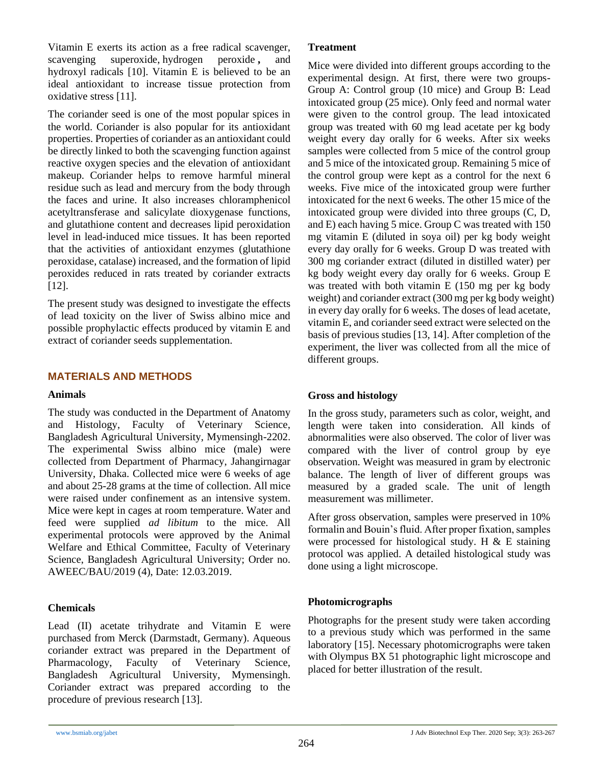Vitamin E exerts its action as a free radical scavenger, scavenging superoxide, [hydrogen peroxide](http://www.scialert.net/asci/result.php?searchin=Keywords&cat=&ascicat=ALL&Submit=Search&keyword=hydrogen+peroxide) **,** and hydroxyl radicals [10]. Vitamin E is believed to be an ideal antioxidant to increase tissue protection from oxidative stress [11].

The coriander seed is one of the most popular spices in the world. Coriander is also popular for its antioxidant properties. Properties of coriander as an antioxidant could be directly linked to both the scavenging function against reactive oxygen species and the elevation of antioxidant makeup. Coriander helps to remove harmful mineral residue such as lead and mercury from the body through the faces and urine. It also increases chloramphenicol acetyltransferase and salicylate dioxygenase functions, and glutathione content and decreases lipid peroxidation level in lead-induced mice tissues. It has been reported that the activities of antioxidant enzymes (glutathione peroxidase, catalase) increased, and the formation of lipid peroxides reduced in rats treated by coriander extracts [12].

The present study was designed to investigate the effects of lead toxicity on the liver of Swiss albino mice and possible prophylactic effects produced by vitamin E and extract of coriander seeds supplementation.

# **MATERIALS AND METHODS**

#### **Animals**

The study was conducted in the Department of Anatomy and Histology, Faculty of Veterinary Science, Bangladesh Agricultural University, Mymensingh-2202. The experimental Swiss albino mice (male) were collected from Department of Pharmacy, Jahangirnagar University, Dhaka. Collected mice were 6 weeks of age and about 25-28 grams at the time of collection. All mice were raised under confinement as an intensive system. Mice were kept in cages at room temperature. Water and feed were supplied *ad libitum* to the mice*.* All experimental protocols were approved by the Animal Welfare and Ethical Committee, Faculty of Veterinary Science, Bangladesh Agricultural University; Order no. AWEEC/BAU/2019 (4), Date: 12.03.2019.

# **Chemicals**

Lead (II) acetate trihydrate and Vitamin E were purchased from Merck (Darmstadt, Germany). Aqueous coriander extract was prepared in the Department of Pharmacology, Faculty of Veterinary Science, Bangladesh Agricultural University, Mymensingh. Coriander extract was prepared according to the procedure of previous research [13].

#### **Treatment**

Mice were divided into different groups according to the experimental design. At first, there were two groups-Group A: Control group (10 mice) and Group B: Lead intoxicated group (25 mice). Only feed and normal water were given to the control group. The lead intoxicated group was treated with 60 mg lead acetate per kg body weight every day orally for 6 weeks. After six weeks samples were collected from 5 mice of the control group and 5 mice of the intoxicated group. Remaining 5 mice of the control group were kept as a control for the next 6 weeks. Five mice of the intoxicated group were further intoxicated for the next 6 weeks. The other 15 mice of the intoxicated group were divided into three groups (C, D, and E) each having 5 mice. Group C was treated with 150 mg vitamin E (diluted in soya oil) per kg body weight every day orally for 6 weeks. Group D was treated with 300 mg coriander extract (diluted in distilled water) per kg body weight every day orally for 6 weeks. Group E was treated with both vitamin E (150 mg per kg body weight) and coriander extract (300 mg per kg body weight) in every day orally for 6 weeks. The doses of lead acetate, vitamin E, and coriander seed extract were selected on the basis of previous studies [13, 14]. After completion of the experiment, the liver was collected from all the mice of different groups.

#### **Gross and histology**

In the gross study, parameters such as color, weight, and length were taken into consideration. All kinds of abnormalities were also observed. The color of liver was compared with the liver of control group by eye observation. Weight was measured in gram by electronic balance. The length of liver of different groups was measured by a graded scale. The unit of length measurement was millimeter.

After gross observation, samples were preserved in 10% formalin and Bouin's fluid. After proper fixation, samples were processed for histological study. H  $&$  E staining protocol was applied. A detailed histological study was done using a light microscope.

# **Photomicrographs**

Photographs for the present study were taken according to a previous study which was performed in the same laboratory [15]. Necessary photomicrographs were taken with Olympus BX 51 photographic light microscope and placed for better illustration of the result.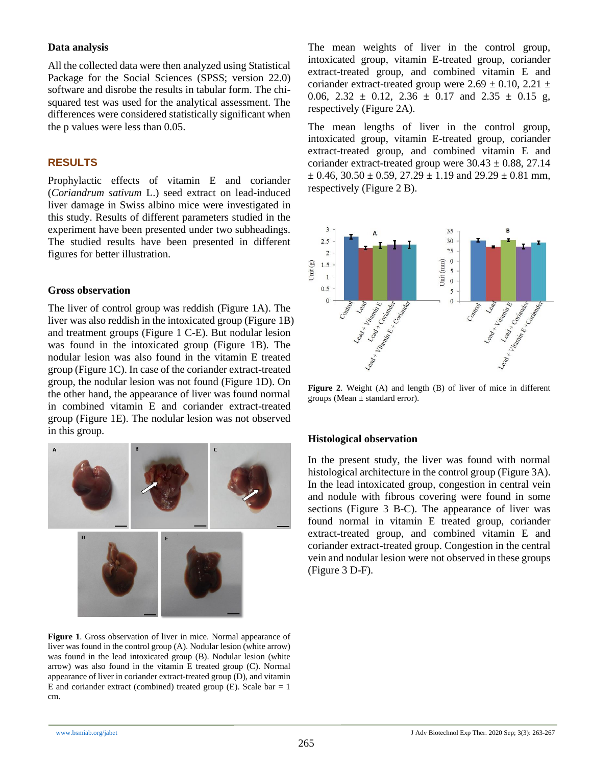#### **Data analysis**

All the collected data were then analyzed using Statistical Package for the Social Sciences (SPSS; version 22.0) software and disrobe the results in tabular form. The chisquared test was used for the analytical assessment. The differences were considered statistically significant when the p values were less than 0.05.

## **RESULTS**

Prophylactic effects of vitamin E and coriander (*Coriandrum sativum* L.) seed extract on lead-induced liver damage in Swiss albino mice were investigated in this study. Results of different parameters studied in the experiment have been presented under two subheadings. The studied results have been presented in different figures for better illustration.

#### **Gross observation**

The liver of control group was reddish (Figure 1A). The liver was also reddish in the intoxicated group (Figure 1B) and treatment groups (Figure 1 C-E). But nodular lesion was found in the intoxicated group (Figure 1B). The nodular lesion was also found in the vitamin E treated group (Figure 1C). In case of the coriander extract-treated group, the nodular lesion was not found (Figure 1D). On the other hand, the appearance of liver was found normal in combined vitamin E and coriander extract-treated group (Figure 1E). The nodular lesion was not observed in this group.



**Figure 1**. Gross observation of liver in mice. Normal appearance of liver was found in the control group (A). Nodular lesion (white arrow) was found in the lead intoxicated group (B). Nodular lesion (white arrow) was also found in the vitamin E treated group (C). Normal appearance of liver in coriander extract-treated group (D), and vitamin E and coriander extract (combined) treated group (E). Scale bar  $= 1$ cm.

The mean weights of liver in the control group, intoxicated group, vitamin E-treated group, coriander extract-treated group, and combined vitamin E and coriander extract-treated group were  $2.69 \pm 0.10$ ,  $2.21 \pm$ 0.06,  $2.32 \pm 0.12$ ,  $2.36 \pm 0.17$  and  $2.35 \pm 0.15$  g, respectively (Figure 2A).

The mean lengths of liver in the control group, intoxicated group, vitamin E-treated group, coriander extract-treated group, and combined vitamin E and coriander extract-treated group were  $30.43 \pm 0.88$ , 27.14  $\pm$  0.46, 30.50  $\pm$  0.59, 27.29  $\pm$  1.19 and 29.29  $\pm$  0.81 mm, respectively (Figure 2 B).



**Figure 2**. Weight (A) and length (B) of liver of mice in different groups (Mean ± standard error).

#### **Histological observation**

In the present study, the liver was found with normal histological architecture in the control group (Figure 3A). In the lead intoxicated group, congestion in central vein and nodule with fibrous covering were found in some sections (Figure 3 B-C). The appearance of liver was found normal in vitamin E treated group, coriander extract-treated group, and combined vitamin E and coriander extract-treated group. Congestion in the central vein and nodular lesion were not observed in these groups (Figure 3 D-F).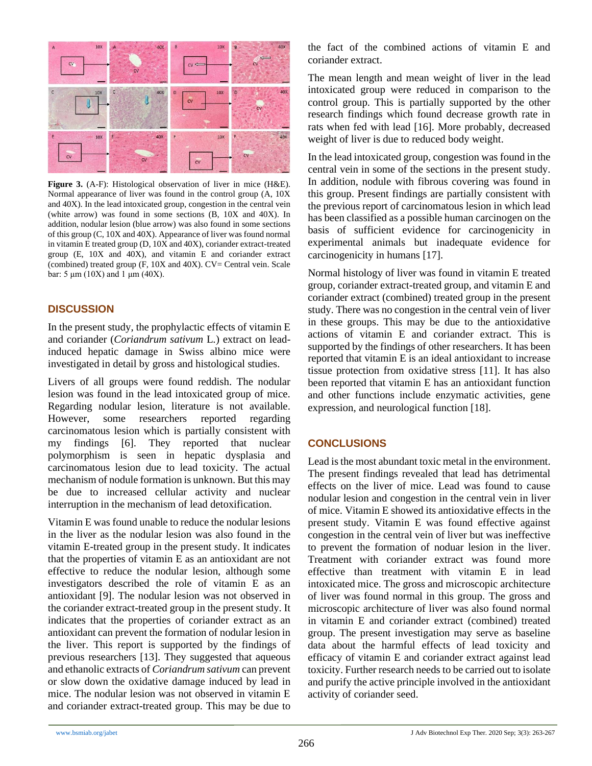

**Figure 3.** (A-F): Histological observation of liver in mice (H&E). Normal appearance of liver was found in the control group (A, 10X and 40X). In the lead intoxicated group, congestion in the central vein (white arrow) was found in some sections (B, 10X and 40X). In addition, nodular lesion (blue arrow) was also found in some sections of this group (C, 10X and 40X). Appearance of liver was found normal in vitamin E treated group (D, 10X and 40X), coriander extract-treated group (E, 10X and 40X), and vitamin E and coriander extract (combined) treated group  $(F, 10X \text{ and } 40X)$ .  $CV = Central$  vein. Scale bar: 5 μm (10X) and 1 μm (40X).

# **DISCUSSION**

In the present study, the prophylactic effects of vitamin E and coriander (*Coriandrum sativum* L*.*) extract on leadinduced hepatic damage in Swiss albino mice were investigated in detail by gross and histological studies.

Livers of all groups were found reddish. The nodular lesion was found in the lead intoxicated group of mice. Regarding nodular lesion, literature is not available. However, some researchers reported regarding carcinomatous lesion which is partially consistent with my findings [6]. They reported that nuclear polymorphism is seen in hepatic dysplasia and carcinomatous lesion due to lead toxicity. The actual mechanism of nodule formation is unknown. But this may be due to increased cellular activity and nuclear interruption in the mechanism of lead detoxification.

Vitamin E was found unable to reduce the nodular lesions in the liver as the nodular lesion was also found in the vitamin E-treated group in the present study. It indicates that the properties of vitamin E as an antioxidant are not effective to reduce the nodular lesion, although some investigators described the role of vitamin E as an antioxidant [9]. The nodular lesion was not observed in the coriander extract-treated group in the present study. It indicates that the properties of coriander extract as an antioxidant can prevent the formation of nodular lesion in the liver. This report is supported by the findings of previous researchers [13]. They suggested that aqueous and ethanolic extracts of *Coriandrum sativum* can prevent or slow down the oxidative damage induced by lead in mice. The nodular lesion was not observed in vitamin E and coriander extract-treated group. This may be due to the fact of the combined actions of vitamin E and coriander extract.

The mean length and mean weight of liver in the lead intoxicated group were reduced in comparison to the control group. This is partially supported by the other research findings which found decrease growth rate in rats when fed with lead [16]. More probably, decreased weight of liver is due to reduced body weight.

In the lead intoxicated group, congestion was found in the central vein in some of the sections in the present study. In addition, nodule with fibrous covering was found in this group. Present findings are partially consistent with the previous report of carcinomatous lesion in which lead has been classified as a possible human carcinogen on the basis of sufficient evidence for carcinogenicity in experimental animals but inadequate evidence for carcinogenicity in humans [17].

Normal histology of liver was found in vitamin E treated group, coriander extract-treated group, and vitamin E and coriander extract (combined) treated group in the present study. There was no congestion in the central vein of liver in these groups. This may be due to the antioxidative actions of vitamin E and coriander extract. This is supported by the findings of other researchers. It has been reported that vitamin E is an ideal antioxidant to increase tissue protection from oxidative stress [11]. It has also been reported that vitamin E has an antioxidant function and other functions include enzymatic activities, gene expression, and neurological function [18].

# **CONCLUSIONS**

Lead is the most abundant toxic metal in the environment. The present findings revealed that lead has detrimental effects on the liver of mice. Lead was found to cause nodular lesion and congestion in the central vein in liver of mice. Vitamin E showed its antioxidative effects in the present study. Vitamin E was found effective against congestion in the central vein of liver but was ineffective to prevent the formation of noduar lesion in the liver. Treatment with coriander extract was found more effective than treatment with vitamin E in lead intoxicated mice. The gross and microscopic architecture of liver was found normal in this group. The gross and microscopic architecture of liver was also found normal in vitamin E and coriander extract (combined) treated group. The present investigation may serve as baseline data about the harmful effects of lead toxicity and efficacy of vitamin E and coriander extract against lead toxicity. Further research needs to be carried out to isolate and purify the active principle involved in the antioxidant activity of coriander seed.